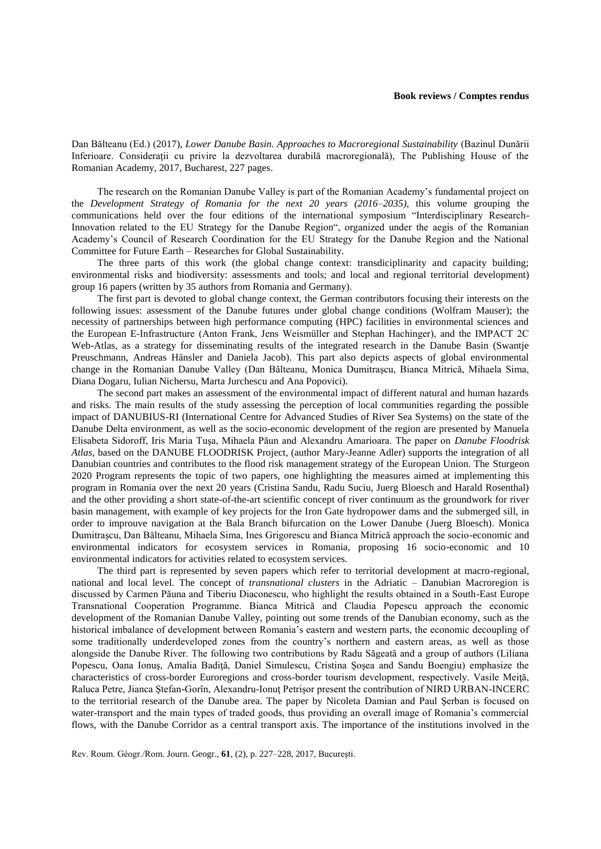Dan Bălteanu (Ed.) (2017), *Lower Danube Basin. Approaches to Macroregional Sustainability* (Bazinul Dunării Inferioare. Consideraţii cu privire la dezvoltarea durabilă macroregională), The Publishing House of the Romanian Academy, 2017, Bucharest, 227 pages.

The research on the Romanian Danube Valley is part of the Romanian Academy's fundamental project on the *Development Strategy of Romania for the next 20 years (2016–2035)*, this volume grouping the communications held over the four editions of the international symposium "Interdisciplinary Research-Innovation related to the EU Strategy for the Danube Region", organized under the aegis of the Romanian Academy's Council of Research Coordination for the EU Strategy for the Danube Region and the National Committee for Future Earth – Researches for Global Sustainability.

The three parts of this work (the global change context: transdiciplinarity and capacity building; environmental risks and biodiversity: assessments and tools; and local and regional territorial development) group 16 papers (written by 35 authors from Romania and Germany).

The first part is devoted to global change context, the German contributors focusing their interests on the following issues: assessment of the Danube futures under global change conditions (Wolfram Mauser); the necessity of partnerships between high performance computing (HPC) facilities in environmental sciences and the European E-Infrastructure (Anton Frank, Jens Weismüller and Stephan Hachinger), and the IMPACT 2C Web-Atlas, as a strategy for disseminating results of the integrated research in the Danube Basin (Swantje Preuschmann, Andreas Hänsler and Daniela Jacob). This part also depicts aspects of global environmental change in the Romanian Danube Valley (Dan Bălteanu, Monica Dumitraşcu, Bianca Mitrică, Mihaela Sima, Diana Dogaru, Iulian Nichersu, Marta Jurchescu and Ana Popovici).

The second part makes an assessment of the environmental impact of different natural and human hazards and risks. The main results of the study assessing the perception of local communities regarding the possible impact of DANUBIUS-RI (International Centre for Advanced Studies of River Sea Systems) on the state of the Danube Delta environment, as well as the socio-economic development of the region are presented by Manuela Elisabeta Sidoroff, Iris Maria Tuşa, Mihaela Păun and Alexandru Amarioara. The paper on *Danube Floodrisk Atlas,* based on the DANUBE FLOODRISK Project, (author Mary-Jeanne Adler) supports the integration of all Danubian countries and contributes to the flood risk management strategy of the European Union. The Sturgeon 2020 Program represents the topic of two papers, one highlighting the measures aimed at implementing this program in Romania over the next 20 years (Cristina Sandu, Radu Suciu, Juerg Bloesch and Harald Rosenthal) and the other providing a short state-of-the-art scientific concept of river continuum as the groundwork for river basin management, with example of key projects for the Iron Gate hydropower dams and the submerged sill, in order to improuve navigation at the Bala Branch bifurcation on the Lower Danube (Juerg Bloesch). Monica Dumitraşcu, Dan Bălteanu, Mihaela Sima, Ines Grigorescu and Bianca Mitrică approach the socio-economic and environmental indicators for ecosystem services in Romania, proposing 16 socio-economic and 10 environmental indicators for activities related to ecosystem services.

The third part is represented by seven papers which refer to territorial development at macro-regional, national and local level. The concept of *transnational clusters* in the Adriatic – Danubian Macroregion is discussed by Carmen Păuna and Tiberiu Diaconescu, who highlight the results obtained in a South-East Europe Transnational Cooperation Programme. Bianca Mitrică and Claudia Popescu approach the economic development of the Romanian Danube Valley, pointing out some trends of the Danubian economy, such as the historical imbalance of development between Romania's eastern and western parts, the economic decoupling of some traditionally underdeveloped zones from the country's northern and eastern areas, as well as those alongside the Danube River. The following two contributions by Radu Săgeată and a group of authors (Liliana Popescu, Oana Ionuş, Amalia Badiţă, Daniel Simulescu, Cristina Şoşea and Sandu Boengiu) emphasize the characteristics of cross-border Euroregions and cross-border tourism development, respectively. Vasile Meiţă, Raluca Petre, Jianca Ştefan-Gorîn, Alexandru-Ionuţ Petrişor present the contribution of NIRD URBAN-INCERC to the territorial research of the Danube area. The paper by Nicoleta Damian and Paul Şerban is focused on water-transport and the main types of traded goods, thus providing an overall image of Romania's commercial flows, with the Danube Corridor as a central transport axis. The importance of the institutions involved in the

Rev. Roum. Géogr./Rom. Journ. Geogr., **61**, (2), p. 227–228, 2017, Bucureşti.